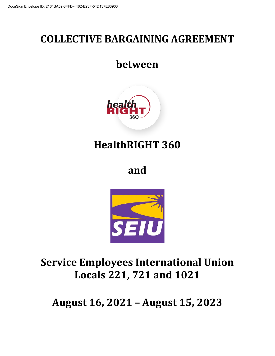# **COLLECTIVE BARGAINING AGREEMENT**

# **between**



# **HealthRIGHT 360**

**and**



# **Service Employees International Union Locals 221, 721 and 1021**

**August 16, 2021 – August 15, 2023**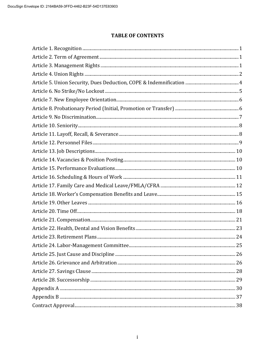# **TABLE OF CONTENTS**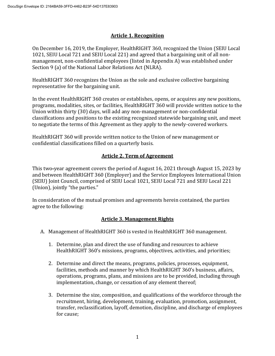## **Article 1. Recognition**

On December 16, 2019, the Employer, HealthRIGHT 360, recognized the Union (SEIU Local 1021, SEIU Local 721 and SEIU Local 221) and agreed that a bargaining unit of all nonmanagement, non-confidential employees (listed in Appendix A) was established under Section 9 (a) of the National Labor Relations Act (NLRA).

HealthRIGHT 360 recognizes the Union as the sole and exclusive collective bargaining representative for the bargaining unit.

In the event HealthRIGHT 360 creates or establishes, opens, or acquires any new positions, programs, modalities, sites, or facilities, HealthRIGHT 360 will provide written notice to the Union within thirty (30) days, will add any non-management or non-confidential classifications and positions to the existing recognized statewide bargaining unit, and meet to negotiate the terms of this Agreement as they apply to the newly-covered workers.

HealthRIGHT 360 will provide written notice to the Union of new management or confidential classifications filled on a quarterly basis.

## **Article 2. Term of Agreement**

This two-year agreement covers the period of August 16, 2021 through August 15, 2023 by and between HealthRIGHT 360 (Employer) and the Service Employees International Union (SEIU) Joint Council, comprised of SEIU Local 1021, SEIU Local 721 and SEIU Local 221 (Union), jointly "the parties."

In consideration of the mutual promises and agreements herein contained, the parties agree to the following:

## **Article 3. Management Rights**

- A. Management of HealthRIGHT 360 is vested in HealthRIGHT 360 management.
	- 1. Determine, plan and direct the use of funding and resources to achieve HealthRIGHT 360's missions, programs, objectives, activities, and priorities;
	- 2. Determine and direct the means, programs, policies, processes, equipment, facilities, methods and manner by which HealthRIGHT 360's business, affairs, operations, programs, plans, and missions are to be provided, including through implementation, change, or cessation of any element thereof;
	- 3. Determine the size, composition, and qualifications of the workforce through the recruitment, hiring, development, training, evaluation, promotion, assignment, transfer, reclassification, layoff, demotion, discipline, and discharge of employees for cause;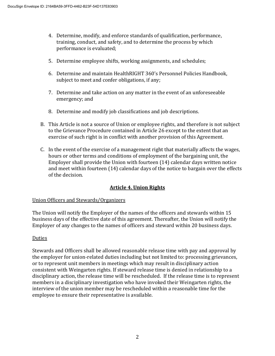- 4. Determine, modify, and enforce standards of qualification, performance, training, conduct, and safety, and to determine the process by which performance is evaluated;
- 5. Determine employee shifts, working assignments, and schedules;
- 6. Determine and maintain HealthRIGHT 360's Personnel Policies Handbook, subject to meet and confer obligations, if any;
- 7. Determine and take action on any matter in the event of an unforeseeable emergency; and
- 8. Determine and modify job classifications and job descriptions.
- B. This Article is not a source of Union or employee rights, and therefore is not subject to the Grievance Procedure contained in Article 26 except to the extent that an exercise of such right is in conflict with another provision of this Agreement.
- C. In the event of the exercise of a management right that materially affects the wages, hours or other terms and conditions of employment of the bargaining unit, the Employer shall provide the Union with fourteen (14) calendar days written notice and meet within fourteen (14) calendar days of the notice to bargain over the effects of the decision.

## **Article 4. Union Rights**

#### Union Officers and Stewards/Organizers

The Union will notify the Employer of the names of the officers and stewards within 15 business days of the effective date of this agreement. Thereafter, the Union will notify the Employer of any changes to the names of officers and steward within 20 business days.

#### Duties

Stewards and Officers shall be allowed reasonable release time with pay and approval by the employer for union-related duties including but not limited to: processing grievances, or to represent unit members in meetings which may result in disciplinary action consistent with Weingarten rights. If steward release time is denied in relationship to a disciplinary action, the release time will be rescheduled. If the release time is to represent members in a disciplinary investigation who have invoked their Weingarten rights, the interview of the union member may be rescheduled within a reasonable time for the employee to ensure their representative is available.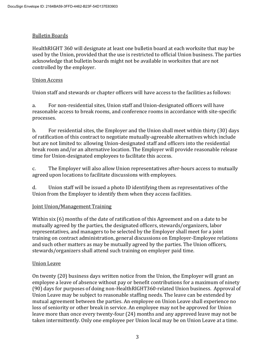## Bulletin Boards

HealthRIGHT 360 will designate at least one bulletin board at each worksite that may be used by the Union, provided that the use is restricted to official Union business. The parties acknowledge that bulletin boards might not be available in worksites that are not controlled by the employer.

## Union Access

Union staff and stewards or chapter officers will have access to the facilities as follows:

a. For non-residential sites, Union staff and Union-designated officers will have reasonable access to break rooms, and conference rooms in accordance with site-specific processes.

b. For residential sites, the Employer and the Union shall meet within thirty (30) days of ratification of this contract to negotiate mutually-agreeable alternatives which include but are not limited to: allowing Union-designated staff and officers into the residential break room and/or an alternative location. The Employer will provide reasonable release time for Union-designated employees to facilitate this access.

c. The Employer will also allow Union representatives after-hours access to mutually agreed upon locations to facilitate discussions with employees.

d. Union staff will be issued a photo ID identifying them as representatives of the Union from the Employer to identify them when they access facilities.

## Joint Union/Management Training

Within six (6) months of the date of ratification of this Agreement and on a date to be mutually agreed by the parties, the designated officers, stewards/organizers, labor representatives, and managers to be selected by the Employer shall meet for a joint training on contract administration, general discussions on Employer-Employee relations and such other matters as may be mutually agreed by the parties. The Union officers, stewards/organizers shall attend such training on employer paid time.

#### Union Leave

On twenty (20) business days written notice from the Union, the Employer will grant an employee a leave of absence without pay or benefit contributions for a maximum of ninety (90) days for purposes of doing non-HealthRIGHT360-related Union business. Approval of Union Leave may be subject to reasonable staffing needs. The leave can be extended by mutual agreement between the parties. An employee on Union Leave shall experience no loss of seniority or other break in service. An employee may not be approved for Union leave more than once every twenty-four (24) months and any approved leave may not be taken intermittently. Only one employee per Union local may be on Union Leave at a time.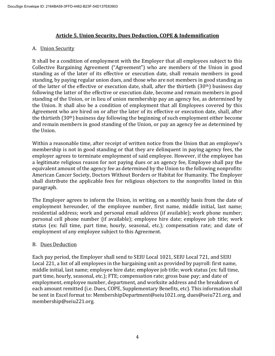## **Article 5. Union Security, Dues Deduction, COPE & Indemnification**

#### A. Union Security

It shall be a condition of employment with the Employer that all employees subject to this Collective Bargaining Agreement ("Agreement") who are members of the Union in good standing as of the later of its effective or execution date, shall remain members in good standing, by paying regular union dues, and those who are not members in good standing as of the latter of the effective or execution date, shall, after the thirtieth (30<sup>th</sup>) business day following the latter of the effective or execution date, become and remain members in good standing of the Union, or in lieu of union membership pay an agency fee, as determined by the Union. It shall also be a condition of employment that all Employees covered by this Agreement who are hired on or after the later of its effective or execution date, shall, after the thirtieth (30th) business day following the beginning of such employment either become and remain members in good standing of the Union, or pay an agency fee as determined by the Union.

Within a reasonable time, after receipt of written notice from the Union that an employee's membership is not in good standing or that they are delinquent in paying agency fees, the employer agrees to terminate employment of said employee. However, if the employee has a legitimate religious reason for not paying dues or an agency fee, Employee shall pay the equivalent amount of the agency fee as determined by the Union to the following nonprofits: American Cancer Society, Doctors Without Borders or Habitat for Humanity. The Employer shall distribute the applicable fees for religious objectors to the nonprofits listed in this paragraph.

The Employer agrees to inform the Union, in writing, on a monthly basis from the date of employment hereunder, of the employee number, first name, middle initial, last name; residential address; work and personal email address (if available); work phone number; personal cell phone number (if available); employee hire date; employee job title; work status (ex: full time, part time, hourly, seasonal, etc.); compensation rate; and date of employment of any employee subject to this Agreement.

## B. Dues Deduction

Each pay period, the Employer shall send to SEIU Local 1021, SEIU Local 721, and SEIU Local 221, a list of all employees in the bargaining unit as provided by payroll: first name, middle initial, last name; employee hire date; employee job title; work status (ex: full time, part time, hourly, seasonal, etc.); FTE; compensation rate; gross base pay; and date of employment, employee number, department, and worksite address and the breakdown of each amount remitted (i.e. Dues, COPE, Supplementary Benefits, etc). This information shall be sent in Excel format to: MembershipDepartment@seiu1021.org, dues@seiu721.org, and membership@seiu221.org.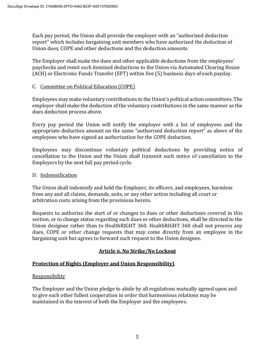Each pay period, the Union shall provide the employer with an "authorized deduction report" which includes bargaining unit members who have authorized the deduction of Union dues, COPE and other deductions and the deduction amounts.

The Employer shall make the dues and other applicable deductions from the employees' paychecks and remit such itemized deductions to the Union via Automated Clearing House (ACH) or Electronic Funds Transfer (EFT) within five (5) business days of each payday.

## C. Committee on Political Education (COPE)

Employees may make voluntary contributions to the Union's political action committees. The employer shall make the deduction of the voluntary contributions in the same manner as the dues deduction process above.

Every pay period the Union will notify the employer with a list of employees and the appropriate deduction amount on the same "authorized deduction report" as above of the employees who have signed an authorization for the COPE deduction.

Employees may discontinue voluntary political deductions by providing notice of cancellation to the Union and the Union shall transmit such notice of cancellation to the Employers by the next full pay period cycle.

#### D. Indemnification

The Union shall indemnify and hold the Employer, its officers, and employees, harmless from any and all claims, demands, suits, or any other action including all court or arbitration costs arising from the provisions herein.

Requests to authorize the start of or changes to dues or other deductions covered in this section, or to change status regarding such dues or other deductions, shall be directed to the Union designee rather than to HealthRIGHT 360. HealthRIGHT 360 shall not process any dues, COPE or other change requests that may come directly from an employee in the bargaining unit but agrees to forward such request to the Union designee.

## **Article 6. No Strike/No Lockout**

## **Protection of Rights (Employer and Union Responsibility)**

#### **Responsibility**

The Employer and the Union pledge to abide by all regulations mutually agreed upon and to give each other fullest cooperation in order that harmonious relations may be maintained in the interest of both the Employer and the employees.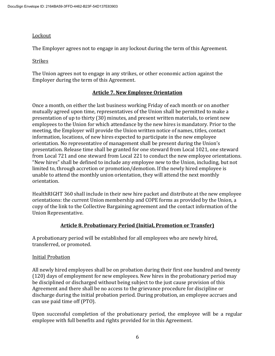#### Lockout

The Employer agrees not to engage in any lockout during the term of this Agreement.

#### Strikes

The Union agrees not to engage in any strikes, or other economic action against the Employer during the term of this Agreement.

## **Article 7. New Employee Orientation**

Once a month, on either the last business working Friday of each month or on another mutually agreed upon time, representatives of the Union shall be permitted to make a presentation of up to thirty (30) minutes, and present written materials, to orient new employees to the Union for which attendance by the new hires is mandatory. Prior to the meeting, the Employer will provide the Union written notice of names, titles, contact information, locations, of new hires expected to participate in the new employee orientation. No representative of management shall be present during the Union's presentation. Release time shall be granted for one steward from Local 1021, one steward from Local 721 and one steward from Local 221 to conduct the new employee orientations. "New hires" shall be defined to include any employee new to the Union, including, but not limited to, through accretion or promotion/demotion. If the newly hired employee is unable to attend the monthly union orientation, they will attend the next monthly orientation.

HealthRIGHT 360 shall include in their new hire packet and distribute at the new employee orientations: the current Union membership and COPE forms as provided by the Union, a copy of the link to the Collective Bargaining agreement and the contact information of the Union Representative.

## **Article 8. Probationary Period (Initial, Promotion or Transfer)**

A probationary period will be established for all employees who are newly hired, transferred, or promoted.

#### Initial Probation

All newly hired employees shall be on probation during their first one hundred and twenty (120) days of employment for new employees. New hires in the probationary period may be disciplined or discharged without being subject to the just cause provision of this Agreement and there shall be no access to the grievance procedure for discipline or discharge during the initial probation period. During probation, an employee accrues and can use paid time off (PTO).

Upon successful completion of the probationary period, the employee will be a regular employee with full benefits and rights provided for in this Agreement.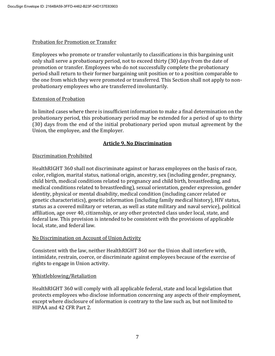#### Probation for Promotion or Transfer

Employees who promote or transfer voluntarily to classifications in this bargaining unit only shall serve a probationary period, not to exceed thirty (30) days from the date of promotion or transfer. Employees who do not successfully complete the probationary period shall return to their former bargaining unit position or to a position comparable to the one from which they were promoted or transferred. This Section shall not apply to nonprobationary employees who are transferred involuntarily.

#### Extension of Probation

In limited cases where there is insufficient information to make a final determination on the probationary period, this probationary period may be extended for a period of up to thirty (30) days from the end of the initial probationary period upon mutual agreement by the Union, the employee, and the Employer.

## **Article 9. No Discrimination**

#### Discrimination Prohibited

HealthRIGHT 360 shall not discriminate against or harass employees on the basis of race, color, religion, marital status, national origin, ancestry, sex (including gender, pregnancy, child birth, medical conditions related to pregnancy and child birth, breastfeeding, and medical conditions related to breastfeeding), sexual orientation, gender expression, gender identity, physical or mental disability, medical condition (including cancer related or genetic characteristics), genetic information (including family medical history), HIV status, status as a covered military or veteran, as well as state military and naval service), political affiliation, age over 40, citizenship, or any other protected class under local, state, and federal law. This provision is intended to be consistent with the provisions of applicable local, state, and federal law.

#### No Discrimination on Account of Union Activity

Consistent with the law, neither HealthRIGHT 360 nor the Union shall interfere with, intimidate, restrain, coerce, or discriminate against employees because of the exercise of rights to engage in Union activity.

#### Whistleblowing/Retaliation

HealthRIGHT 360 will comply with all applicable federal, state and local legislation that protects employees who disclose information concerning any aspects of their employment, except where disclosure of information is contrary to the law such as, but not limited to HIPAA and 42 CFR Part 2.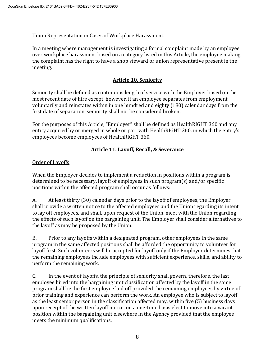## Union Representation in Cases of Workplace Harassment.

In a meeting where management is investigating a formal complaint made by an employee over workplace harassment based on a category listed in this Article, the employee making the complaint has the right to have a shop steward or union representative present in the meeting.

## **Article 10. Seniority**

Seniority shall be defined as continuous length of service with the Employer based on the most recent date of hire except, however, if an employee separates from employment voluntarily and reinstates within in one hundred and eighty (180) calendar days from the first date of separation, seniority shall not be considered broken.

For the purposes of this Article, "Employer" shall be defined as HealthRIGHT 360 and any entity acquired by or merged in whole or part with HealthRIGHT 360, in which the entity's employees become employees of HealthRIGHT 360.

## **Article 11. Layoff, Recall, & Severance**

## Order of Layoffs

When the Employer decides to implement a reduction in positions within a program is determined to be necessary, layoff of employees in such program(s) and/or specific positions within the affected program shall occur as follows:

A. At least thirty (30) calendar days prior to the layoff of employees, the Employer shall provide a written notice to the affected employees and the Union regarding its intent to lay off employees, and shall, upon request of the Union, meet with the Union regarding the effects of such layoff on the bargaining unit. The Employer shall consider alternatives to the layoff as may be proposed by the Union.

B. Prior to any layoffs within a designated program, other employees in the same program in the same affected positions shall be afforded the opportunity to volunteer for layoff first. Such volunteers will be accepted for layoff only if the Employer determines that the remaining employees include employees with sufficient experience, skills, and ability to perform the remaining work.

C. In the event of layoffs, the principle of seniority shall govern, therefore, the last employee hired into the bargaining unit classification affected by the layoff in the same program shall be the first employee laid off provided the remaining employees by virtue of prior training and experience can perform the work. An employee who is subject to layoff as the least senior person in the classification affected may, within five (5) business days upon receipt of the written layoff notice, on a one-time basis elect to move into a vacant position within the bargaining unit elsewhere in the Agency provided that the employee meets the minimum qualifications.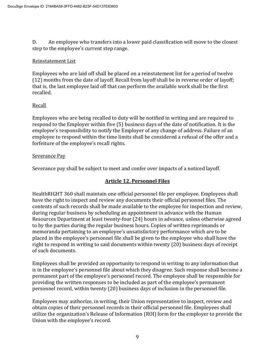D. An employee who transfers into a lower paid classification will move to the closest step to the employee's current step range.

#### Reinstatement List

Employees who are laid off shall be placed on a reinstatement list for a period of twelve (12) months from the date of layoff. Recall from layoff shall be in reverse order of layoff; that is, the last employee laid off that can perform the available work shall be the first recalled.

## Recall

Employees who are being recalled to duty will be notified in writing and are required to respond to the Employer within five (5) business days of the date of notification. It is the employee's responsibility to notify the Employer of any change of address. Failure of an employee to respond within the time limits shall be considered a refusal of the offer and a forfeiture of the employee's recall rights.

## Severance Pay

Severance pay shall be subject to meet and confer over impacts of a noticed layoff.

## **Article 12. Personnel Files**

HealthRIGHT 360 shall maintain one official personnel file per employee. Employees shall have the right to inspect and review any documents their official personnel files. The contents of such records shall be made available to the employee for inspection and review, during regular business by scheduling an appointment in advance with the Human Resources Department at least twenty-four (24) hours in advance, unless otherwise agreed to by the parties during the regular business hours. Copies of written reprimands or memoranda pertaining to an employee's unsatisfactory performance which are to be placed in the employee's personnel file shall be given to the employee who shall have the right to respond in writing to said documents within twenty (20) business days of receipt of such documents.

Employees shall be provided an opportunity to respond in writing to any information that is in the employee's personnel file about which they disagree. Such response shall become a permanent part of the employee's personnel record. The employee shall be responsible for providing the written responses to be included as part of the employee's permanent personnel record, within twenty (20) business days of inclusion in the personnel file.

Employees may authorize, in writing, their Union representative to inspect, review and obtain copies of their personnel records in their official personnel file. Employees shall utilize the organization's Release of Information (ROI) form for the employer to provide the Union with the employee's record.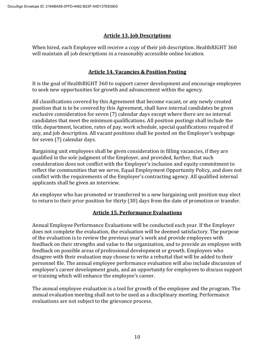## **Article 13. Job Descriptions**

When hired, each Employee will receive a copy of their job description. HealthRIGHT 360 will maintain all job descriptions in a reasonably accessible online location.

# **Article 14. Vacancies & Position Posting**

It is the goal of HealthRIGHT 360 to support career development and encourage employees to seek new opportunities for growth and advancement within the agency.

All classifications covered by this Agreement that become vacant, or any newly created position that is to be covered by this Agreement, shall have internal candidates be given exclusive consideration for seven (7) calendar days except where there are no internal candidates that meet the minimum qualifications. All position postings shall include the title, department, location, rates of pay, work schedule, special qualifications required if any, and job description. All vacant positions shall be posted on the Employer's webpage for seven (7) calendar days.

Bargaining unit employees shall be given consideration in filling vacancies, if they are qualified in the sole judgment of the Employer, and provided, further, that such consideration does not conflict with the Employer's inclusion and equity commitment to reflect the communities that we serve, Equal Employment Opportunity Policy, and does not conflict with the requirements of the Employer's contracting agency. All qualified internal applicants shall be given an interview.

An employee who has promoted or transferred to a new bargaining unit position may elect to return to their prior position for thirty (30) days from the date of promotion or transfer.

## **Article 15. Performance Evaluations**

Annual Employee Performance Evaluations will be conducted each year. If the Employer does not complete the evaluation, the evaluation will be deemed satisfactory. The purpose of the evaluation is to review the previous year's work and provide employees with feedback on their strengths and value to the organization, and to provide an employee with feedback on possible areas of professional development or growth. Employees who disagree with their evaluation may choose to write a rebuttal that will be added to their personnel file. The annual employee performance evaluation will also include discussion of employee's career development goals, and an opportunity for employees to discuss support or training which will enhance the employee's career.

The annual employee evaluation is a tool for growth of the employee and the program. The annual evaluation meeting shall not to be used as a disciplinary meeting. Performance evaluations are not subject to the grievance process.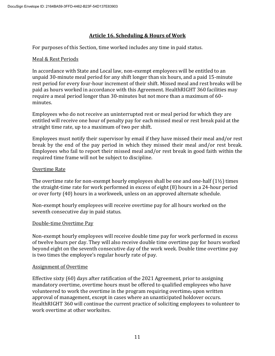## **Article 16. Scheduling & Hours of Work**

For purposes of this Section, time worked includes any time in paid status.

#### Meal & Rest Periods

In accordance with State and Local law, non-exempt employees will be entitled to an unpaid 30-minute meal period for any shift longer than six hours, and a paid 15-minute rest period for every four-hour increment of their shift. Missed meal and rest breaks will be paid as hours worked in accordance with this Agreement. HealthRIGHT 360 facilities may require a meal period longer than 30-minutes but not more than a maximum of 60 minutes.

Employees who do not receive an uninterrupted rest or meal period for which they are entitled will receive one hour of penalty pay for each missed meal or rest break paid at the straight time rate, up to a maximum of two per shift.

Employees must notify their supervisor by email if they have missed their meal and/or rest break by the end of the pay period in which they missed their meal and/or rest break. Employees who fail to report their missed meal and/or rest break in good faith within the required time frame will not be subject to discipline.

#### Overtime Rate

The overtime rate for non-exempt hourly employees shall be one and one-half  $(1\frac{1}{2})$  times the straight-time rate for work performed in excess of eight (8) hours in a 24-hour period or over forty (40) hours in a workweek, unless on an approved alternate schedule.

Non-exempt hourly employees will receive overtime pay for all hours worked on the seventh consecutive day in paid status.

#### Double-time Overtime Pay

Non-exempt hourly employees will receive double time pay for work performed in excess of twelve hours per day. They will also receive double time overtime pay for hours worked beyond eight on the seventh consecutive day of the work week. Double time overtime pay is two times the employee's regular hourly rate of pay.

#### Assignment of Overtime

Effective sixty (60) days after ratification of the 2021 Agreement, prior to assigning mandatory overtime, overtime hours must be offered to qualified employees who have volunteered to work the overtime in the program requiring overtime, upon written approval of management, except in cases where an unanticipated holdover occurs. HealthRIGHT 360 will continue the current practice of soliciting employees to volunteer to work overtime at other worksites.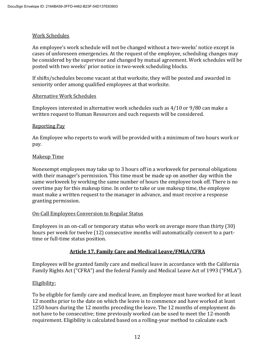## Work Schedules

An employee's work schedule will not be changed without a two-weeks' notice except in cases of unforeseen emergencies. At the request of the employee, scheduling changes may be considered by the supervisor and changed by mutual agreement. Work schedules will be posted with two weeks' prior notice in two-week scheduling blocks.

If shifts/schedules become vacant at that worksite, they will be posted and awarded in seniority order among qualified employees at that worksite.

#### Alternative Work Schedules

Employees interested in alternative work schedules such as 4/10 or 9/80 can make a written request to Human Resources and such requests will be considered.

#### Reporting Pay

An Employee who reports to work will be provided with a minimum of two hours work or pay.

## Makeup Time

Nonexempt employees may take up to 3 hours off in a workweek for personal obligations with their manager's permission. This time must be made up on another day within the same workweek by working the same number of hours the employee took off. There is no overtime pay for this makeup time. In order to take or use makeup time, the employee must make a written request to the manager in advance, and must receive a response granting permission.

## On-Call Employees Conversion to Regular Status

Employees in an on-call or temporary status who work on average more than thirty (30) hours per week for twelve (12) consecutive months will automatically convert to a parttime or full-time status position.

## **Article 17. Family Care and Medical Leave/FMLA/CFRA**

Employees will be granted family care and medical leave in accordance with the California Family Rights Act ("CFRA") and the federal Family and Medical Leave Act of 1993 ("FMLA").

#### Eligibility:

To be eligible for family care and medical leave, an Employee must have worked for at least 12 months prior to the date on which the leave is to commence and have worked at least 1250 hours during the 12 months preceding the leave. The 12 months of employment do not have to be consecutive; time previously worked can be used to meet the 12-month requirement. Eligibility is calculated based on a rolling-year method to calculate each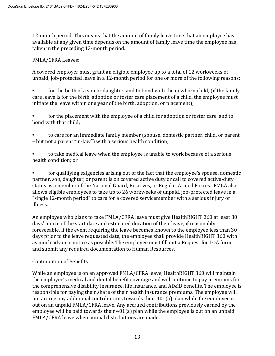12-month period. This means that the amount of family leave time that an employee has available at any given time depends on the amount of family leave time the employee has taken in the preceding 12-month period.

## FMLA/CFRA Leaves:

A covered employer must grant an eligible employee up to a total of 12 workweeks of unpaid, job-protected leave in a 12-month period for one or more of the following reasons:

for the birth of a son or daughter, and to bond with the newborn child, (if the family care leave is for the birth, adoption or foster care placement of a child, the employee must initiate the leave within one year of the birth, adoption, or placement);

• for the placement with the employee of a child for adoption or foster care, and to bond with that child;

• to care for an immediate family member (spouse, domestic partner, child, or parent – but not a parent "in-law") with a serious health condition;

• to take medical leave when the employee is unable to work because of a serious health condition; or

• for qualifying exigencies arising out of the fact that the employee's spouse, domestic partner, son, daughter, or parent is on covered active duty or call to covered active-duty status as a member of the National Guard, Reserves, or Regular Armed Forces. FMLA also allows eligible employees to take up to 26 workweeks of unpaid, job-protected leave in a "single 12-month period" to care for a covered servicemember with a serious injury or illness.

An employee who plans to take FMLA/CFRA leave must give HealthRIGHT 360 at least 30 days' notice of the start date and estimated duration of their leave, if reasonably foreseeable. If the event requiring the leave becomes known to the employee less than 30 days prior to the leave requested date, the employee shall provide HealthRIGHT 360 with as much advance notice as possible. The employee must fill out a Request for LOA form, and submit any required documentation to Human Resources.

## Continuation of Benefits

While an employee is on an approved FMLA/CFRA leave, HealthRIGHT 360 will maintain the employee's medical and dental benefit coverage and will continue to pay premiums for the comprehensive disability insurance, life insurance, and AD&D benefits. The employee is responsible for paying their share of their health insurance premiums. The employee will not accrue any additional contributions towards their 401(a) plan while the employee is out on an unpaid FMLA/CFRA leave. Any accrued contributions previously earned by the employee will be paid towards their 401(a) plan while the employee is out on an unpaid FMLA/CFRA leave when annual distributions are made.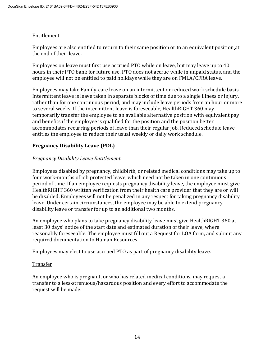#### Entitlement

Employees are also entitled to return to their same position or to an equivalent position at the end of their leave.

Employees on leave must first use accrued PTO while on leave, but may leave up to 40 hours in their PTO bank for future use. PTO does not accrue while in unpaid status, and the employee will not be entitled to paid holidays while they are on FMLA/CFRA leave.

Employees may take Family-care leave on an intermittent or reduced work schedule basis. Intermittent leave is leave taken in separate blocks of time due to a single illness or injury, rather than for one continuous period, and may include leave periods from an hour or more to several weeks. If the intermittent leave is foreseeable, HealthRIGHT 360 may temporarily transfer the employee to an available alternative position with equivalent pay and benefits if the employee is qualified for the position and the position better accommodates recurring periods of leave than their regular job. Reduced schedule leave entitles the employee to reduce their usual weekly or daily work schedule.

## **Pregnancy Disability Leave (PDL)**

## *Pregnancy Disability Leave Entitlement*

Employees disabled by pregnancy, childbirth, or related medical conditions may take up to four work-months of job protected leave, which need not be taken in one continuous period of time. If an employee requests pregnancy disability leave, the employee must give HealthRIGHT 360 written verification from their health care provider that they are or will be disabled. Employees will not be penalized in any respect for taking pregnancy disability leave. Under certain circumstances, the employee may be able to extend pregnancy disability leave or transfer for up to an additional two months.

An employee who plans to take pregnancy disability leave must give HealthRIGHT 360 at least 30 days' notice of the start date and estimated duration of their leave, where reasonably foreseeable. The employee must fill out a Request for LOA form, and submit any required documentation to Human Resources.

Employees may elect to use accrued PTO as part of pregnancy disability leave.

## Transfer

An employee who is pregnant, or who has related medical conditions, may request a transfer to a less-strenuous/hazardous position and every effort to accommodate the request will be made.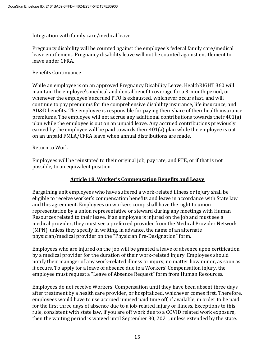#### Integration with family care/medical leave

Pregnancy disability will be counted against the employee's federal family care/medical leave entitlement. Pregnancy disability leave will not be counted against entitlement to leave under CFRA.

#### Benefits Continuance

While an employee is on an approved Pregnancy Disability Leave, HealthRIGHT 360 will maintain the employee's medical and dental benefit coverage for a 3-month period, or whenever the employee's accrued PTO is exhausted, whichever occurs last, and will continue to pay premiums for the comprehensive disability insurance, life insurance, and AD&D benefits. The employee is responsible for paying their share of their health insurance premiums. The employee will not accrue any additional contributions towards their 401(a) plan while the employee is out on an unpaid leave. Any accrued contributions previously earned by the employee will be paid towards their 401(a) plan while the employee is out on an unpaid FMLA/CFRA leave when annual distributions are made.

#### Return to Work

Employees will be reinstated to their original job, pay rate, and FTE, or if that is not possible, to an equivalent position.

## **Article 18. Worker's Compensation Benefits and Leave**

Bargaining unit employees who have suffered a work-related illness or injury shall be eligible to receive worker's compensation benefits and leave in accordance with State law and this agreement. Employees on workers comp shall have the right to union representation by a union representative or steward during any meetings with Human Resources related to their leave. If an employee is injured on the job and must see a medical provider, they must see a preferred provider from the Medical Provider Network (MPN), unless they specify in writing, in advance, the name of an alternate physician/medical provider on the "Physician Pre-Designation" form.

Employees who are injured on the job will be granted a leave of absence upon certification by a medical provider for the duration of their work-related injury. Employees should notify their manager of any work-related illness or injury, no matter how minor, as soon as it occurs. To apply for a leave of absence due to a Workers' Compensation injury, the employee must request a "Leave of Absence Request" form from Human Resources.

Employees do not receive Workers' Compensation until they have been absent three days after treatment by a health care provider, or hospitalized, whichever comes first. Therefore, employees would have to use accrued unused paid time off, if available, in order to be paid for the first three days of absence due to a job-related injury or illness. Exceptions to this rule, consistent with state law, if you are off work due to a COVID related work exposure, then the waiting period is waived until September 30, 2021, unless extended by the state.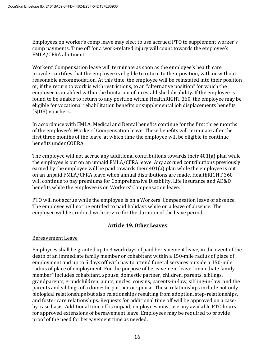Employees on worker's comp leave may elect to use accrued PTO to supplement worker's comp payments. Time off for a work-related injury will count towards the employee's FMLA/CFRA allotment.

Workers' Compensation leave will terminate as soon as the employee's health care provider certifies that the employee is eligible to return to their position, with or without reasonable accommodation. At this time, the employee will be reinstated into their position or, if the return to work is with restrictions, to an "alternative position" for which the employee is qualified within the limitation of an established disability. If the employee is found to be unable to return to any position within HealthRIGHT 360, the employee may be eligible for vocational rehabilitation benefits or supplemental job displacements benefits (SJDB) vouchers.

In accordance with FMLA, Medical and Dental benefits continue for the first three months of the employee's Workers' Compensation leave. These benefits will terminate after the first three months of the leave, at which time the employee will be eligible to continue benefits under COBRA.

The employee will not accrue any additional contributions towards their 401(a) plan while the employee is out on an unpaid FMLA/CFRA leave. Any accrued contributions previously earned by the employee will be paid towards their 401(a) plan while the employee is out on an unpaid FMLA/CFRA leave when annual distributions are made. HealthRIGHT 360 will continue to pay premiums for Comprehensive Disability, Life Insurance and AD&D benefits while the employee is on Workers' Compensation leave.

PTO will not accrue while the employee is on a Workers' Compensation leave of absence. The employee will not be entitled to paid holidays while on a leave of absence. The employee will be credited with service for the duration of the leave period.

## **Article 19. Other Leaves**

#### Bereavement Leave

Employees shall be granted up to 3 workdays of paid bereavement leave, in the event of the death of an immediate family member or cohabitant within a 150-mile radius of place of employment and up to 5 days off with pay to attend funeral services outside a 150-mile radius of place of employment. For the purpose of bereavement leave "immediate family member" includes cohabitant, spouse, domestic partner, children, parents, siblings, grandparents, grandchildren, aunts, uncles, cousins, parents-in-law, sibling-in-law, and the parents and siblings of a domestic partner or spouse. These relationships include not only biological relationships but also relationships resulting from adoption, step-relationships, and foster care relationships. Requests for additional time off will be approved on a caseby-case basis. Additional time off is unpaid; employees must use any available PTO hours for approved extensions of bereavement leave. Employees may be required to provide proof of the need for bereavement time as needed.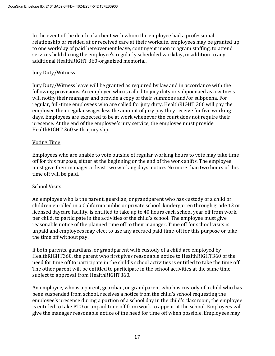In the event of the death of a client with whom the employee had a professional relationship or resided at or received care at their worksite, employees may be granted up to one workday of paid bereavement leave, contingent upon program staffing, to attend services held during the employee's regularly scheduled workday, in addition to any additional HealthRIGHT 360-organized memorial.

#### **Jury Duty/Witness**

Jury Duty/Witness leave will be granted as required by law and in accordance with the following provisions. An employee who is called to jury duty or subpoenaed as a witness will notify their manager and provide a copy of their summons and/or subpoena. For regular, full-time employees who are called for jury duty, HealthRIGHT 360 will pay the employee their regular wages less the amount of jury pay they receive for five working days. Employees are expected to be at work whenever the court does not require their presence. At the end of the employee's jury service, the employee must provide HealthRIGHT 360 with a jury slip.

#### Voting Time

Employees who are unable to vote outside of regular working hours to vote may take time off for this purpose, either at the beginning or the end of the work shifts. The employee must give their manager at least two working days' notice. No more than two hours of this time off will be paid.

#### School Visits

An employee who is the parent, guardian, or grandparent who has custody of a child or children enrolled in a California public or private school, kindergarten through grade 12 or licensed daycare facility, is entitled to take up to 40 hours each school year off from work, per child, to participate in the activities of the child's school. The employee must give reasonable notice of the planned time off to their manager. Time off for school visits is unpaid and employees may elect to use any accrued paid time-off for this purpose or take the time off without pay.

If both parents, guardians, or grandparent with custody of a child are employed by HealthRIGHT360, the parent who first gives reasonable notice to HealthRIGHT360 of the need for time off to participate in the child's school activities is entitled to take the time off. The other parent will be entitled to participate in the school activities at the same time subject to approval from HealthRIGHT360.

An employee, who is a parent, guardian, or grandparent who has custody of a child who has been suspended from school, receives a notice from the child's school requesting the employee's presence during a portion of a school day in the child's classroom, the employee is entitled to take PTO or unpaid time off from work to appear at the school. Employees will give the manager reasonable notice of the need for time off when possible. Employees may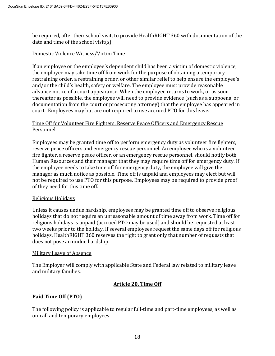be required, after their school visit, to provide HealthRIGHT 360 with documentation of the date and time of the school visit(s).

## Domestic Violence Witness/Victim Time

If an employee or the employee's dependent child has been a victim of domestic violence, the employee may take time off from work for the purpose of obtaining a temporary restraining order, a restraining order, or other similar relief to help ensure the employee's and/or the child's health, safety or welfare. The employee must provide reasonable advance notice of a court appearance. When the employee returns to work, or as soon thereafter as possible, the employee will need to provide evidence (such as a subpoena, or documentation from the court or prosecuting attorney) that the employee has appeared in court.Employees may but are not required to use accrued PTO for this leave.

#### Time Off for Volunteer Fire Fighters, Reserve Peace Officers and Emergency Rescue Personnel

Employees may be granted time off to perform emergency duty as volunteer fire fighters, reserve peace officers and emergency rescue personnel. An employee who is a volunteer fire fighter, a reserve peace officer, or an emergency rescue personnel, should notify both Human Resources and their manager that they may require time off for emergency duty. If the employee needs to take time off for emergency duty, the employee will give the manager as much notice as possible. Time off is unpaid and employees may elect but will not be required to use PTO for this purpose. Employees may be required to provide proof of they need for this time off.

#### Religious Holidays

Unless it causes undue hardship, employees may be granted time off to observe religious holidays that do not require an unreasonable amount of time away from work. Time off for religious holidays is unpaid (accrued PTO may be used) and should be requested at least two weeks prior to the holiday. If several employees request the same days off for religious holidays, HealthRIGHT 360 reserves the right to grant only that number of requests that does not pose an undue hardship.

#### Military Leave of Absence

The Employer will comply with applicable State and Federal law related to military leave and military families.

## **Article 20. Time Off**

## **Paid Time Off (PTO)**

The following policy is applicable to regular full-time and part-time employees, as well as on-call and temporary employees.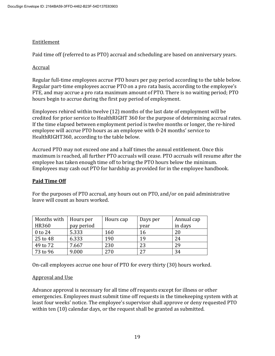## Entitlement

Paid time off (referred to as PTO) accrual and scheduling are based on anniversary years.

## Accrual

Regular full-time employees accrue PTO hours per pay period according to the table below. Regular part-time employees accrue PTO on a pro rata basis, according to the employee's FTE, and may accrue a pro rata maximum amount of PTO. There is no waiting period; PTO hours begin to accrue during the first pay period of employment.

Employees rehired within twelve (12) months of the last date of employment will be credited for prior service to HealthRIGHT 360 for the purpose of determining accrual rates. If the time elapsed between employment period is twelve months or longer, the re-hired employee will accrue PTO hours as an employee with 0-24 months' service to HealthRIGHT360, according to the table below.

Accrued PTO may not exceed one and a half times the annual entitlement. Once this maximum is reached, all further PTO accruals will cease. PTO accruals will resume after the employee has taken enough time off to bring the PTO hours below the minimum. Employees may cash out PTO for hardship as provided for in the employee handbook.

# **Paid Time Off**

For the purposes of PTO accrual, any hours out on PTO, and/or on paid administrative leave will count as hours worked.

| Months with  | Hours per  | Hours cap | Days per | Annual cap |
|--------------|------------|-----------|----------|------------|
| <b>HR360</b> | pay period |           | year     | in days    |
| $0$ to 24    | 5.333      | 160       | 16       | 20         |
| 25 to 48     | 6.333      | 190       | 19       | 24         |
| 49 to 72     | 7.667      | 230       | 23       | 29         |
| 73 to 96     | 9.000      | 270       | 27       | 34         |

On-call employees accrue one hour of PTO for every thirty (30) hours worked.

# Approval and Use

Advance approval is necessary for all time off requests except for illness or other emergencies. Employees must submit time off requests in the timekeeping system with at least four weeks' notice. The employee's supervisor shall approve or deny requested PTO within ten (10) calendar days, or the request shall be granted as submitted.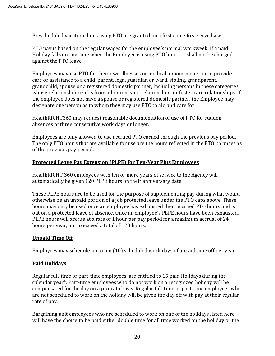Prescheduled vacation dates using PTO are granted on a first come first serve basis.

PTO pay is based on the regular wages for the employee's normal workweek. If a paid Holiday falls during time when the Employee is using PTO hours, it shall not be charged against the PTO leave.

Employees may use PTO for their own illnesses or medical appointments, or to provide care or assistance to a child, parent, legal guardian or ward, sibling, grandparent, grandchild, spouse or a registered domestic partner, including persons in these categories whose relationship results from adoption, step-relationships or foster care relationships. If the employee does not have a spouse or registered domestic partner, the Employee may designate one person as to whom they may use PTO to aid and care for.

HealthRIGHT360 may request reasonable documentation of use of PTO for sudden absences of three consecutive work days or longer.

Employees are only allowed to use accrued PTO earned through the previous pay period. The only PTO hours that are available for use are the hours reflected in the PTO balances as of the previous pay period.

## **Protected Leave Pay Extension (PLPE) for Ten-Year Plus Employees**

HealthRIGHT 360 employees with ten or more years of service to the Agency will automatically be given 120 PLPE hours on their anniversary date.

These PLPE hours are to be used for the purpose of supplementing pay during what would otherwise be an unpaid portion of a job protected leave under the PTO caps above. These hours may only be used once an employee has exhausted their accrued PTO hours and is out on a protected leave of absence. Once an employee's PLPE hours have been exhausted, PLPE hours will accrue at a rate of 1 hour per pay period for a maximum accrual of 24 hours per year, not to exceed a total of 120 hours.

## **Unpaid Time Off**

Employees may schedule up to ten (10) scheduled work days of unpaid time off per year.

# **Paid Holidays**

Regular full-time or part-time employees, are entitled to 15 paid Holidays during the calendar year\*. Part-time employees who do not work on a recognized holiday will be compensated for the day on a pro-rata basis. Regular full-time or part-time employees who are not scheduled to work on the holiday will be given the day off with pay at their regular rate of pay.

Bargaining unit employees who are scheduled to work on one of the holidays listed here will have the choice to be paid either double time for all time worked on the holiday or the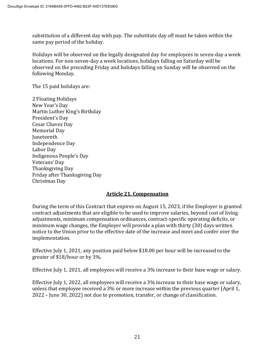substitution of a different day with pay. The substitute day off must be taken within the same pay period of the holiday.

Holidays will be observed on the legally designated day for employees in seven-day a week locations. For non-seven-day a week locations, holidays falling on Saturday will be observed on the preceding Friday and holidays falling on Sunday will be observed on the following Monday.

The 15 paid holidays are:

2 Floating Holidays New Year's Day Martin Luther King's Birthday President's Day Cesar Chavez Day Memorial Day Juneteenth Independence Day Labor Day Indigenous People's Day Veterans' Day Thanksgiving Day Friday after Thanksgiving Day Christmas Day

#### **Article 21. Compensation**

During the term of this Contract that expires on August 15, 2023, if the Employer is granted contract adjustments that are eligible to be used to improve salaries, beyond cost of living adjustments, minimum compensation ordinances, contract-specific operating deficits, or minimum wage changes, the Employer will provide a plan with thirty (30) days written notice to the Union prior to the effective date of the increase and meet and confer over the implementation.

Effective July 1, 2021, any position paid below \$18.00 per hour will be increased to the greater of \$18/hour or by 3%.

Effective July 1, 2021, all employees will receive a 3% increase to their base wage or salary.

Effective July 1, 2022, all employees will receive a 3% increase to their base wage or salary, unless that employee received a 3% or more increase within the previous quarter (April 1, 2022 – June 30, 2022) not due to promotion, transfer, or change of classification.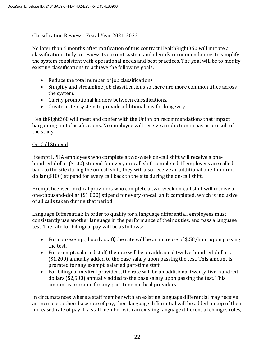#### Classification Review – Fiscal Year 2021-2022

No later than 6 months after ratification of this contract HealthRight360 will initiate a classification study to review its current system and identify recommendations to simplify the system consistent with operational needs and best practices. The goal will be to modify existing classifications to achieve the following goals:

- Reduce the total number of job classifications
- Simplify and streamline job classifications so there are more common titles across the system.
- Clarify promotional ladders between classifications.
- Create a step system to provide additional pay for longevity.

HealthRight360 will meet and confer with the Union on recommendations that impact bargaining unit classifications. No employee will receive a reduction in pay as a result of the study.

#### On-Call Stipend

Exempt LPHA employees who complete a two-week on-call shift will receive a onehundred-dollar (\$100) stipend for every on-call shift completed. If employees are called back to the site during the on-call shift, they will also receive an additional one-hundreddollar (\$100) stipend for every call back to the site during the on-call shift.

Exempt licensed medical providers who complete a two-week on-call shift will receive a one-thousand-dollar (\$1,000) stipend for every on-call shift completed, which is inclusive of all calls taken during that period.

Language Differential: In order to qualify for a language differential, employees must consistently use another language in the performance of their duties, and pass a language test. The rate for bilingual pay will be as follows:

- For non-exempt, hourly staff, the rate will be an increase of \$.58/hour upon passing the test.
- For exempt, salaried staff, the rate will be an additional twelve-hundred-dollars (\$1,200) annually added to the base salary upon passing the test. This amount is prorated for any exempt, salaried part-time staff.
- For bilingual medical providers, the rate will be an additional twenty-five-hundreddollars (\$2,500) annually added to the base salary upon passing the test. This amount is prorated for any part-time medical providers.

In circumstances where a staff member with an existing language differential may receive an increase to their base rate of pay, their language differential will be added on top of their increased rate of pay. If a staff member with an existing language differential changes roles,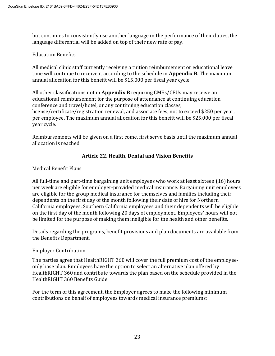but continues to consistently use another language in the performance of their duties, the language differential will be added on top of their new rate of pay.

#### Education Benefits

All medical clinic staff currently receiving a tuition reimbursement or educational leave time will continue to receive it according to the schedule in **Appendix B**. The maximum annual allocation for this benefit will be \$15,000 per fiscal year cycle.

All other classifications not in **Appendix B** requiring CMEs/CEUs may receive an educational reimbursement for the purpose of attendance at continuing education conference and travel/hotel, or any continuing education classes, license/certificate/registration renewal, and associate fees, not to exceed \$250 per year, per employee. The maximum annual allocation for this benefit will be \$25,000 per fiscal year cycle.

Reimbursements will be given on a first come, first serve basis until the maximum annual allocation is reached.

## **Article 22. Health, Dental and Vision Benefits**

#### Medical Benefit Plans

All full-time and part-time bargaining unit employees who work at least sixteen (16) hours per week are eligible for employer-provided medical insurance. Bargaining unit employees are eligible for the group medical insurance for themselves and families including their dependents on the first day of the month following their date of hire for Northern California employees. Southern California employees and their dependents will be eligible on the first day of the month following 20 days of employment. Employees' hours will not be limited for the purpose of making them ineligible for the health and other benefits.

Details regarding the programs, benefit provisions and plan documents are available from the Benefits Department.

#### Employer Contribution

The parties agree that HealthRIGHT 360 will cover the full premium cost of the employeeonly base plan. Employees have the option to select an alternative plan offered by HealthRIGHT 360 and contribute towards the plan based on the schedule provided in the HealthRIGHT 360 Benefits Guide.

For the term of this agreement, the Employer agrees to make the following minimum contributions on behalf of employees towards medical insurance premiums: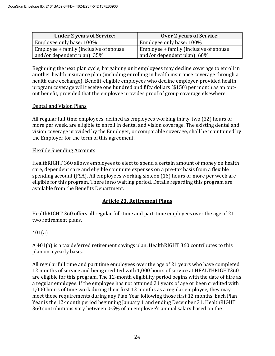| <b>Under 2 years of Service:</b>       | <b>Over 2 years of Service:</b>        |  |  |
|----------------------------------------|----------------------------------------|--|--|
| Employee only base: 100%               | Employee only base: 100%               |  |  |
| Employee + family (inclusive of spouse | Employee + family (inclusive of spouse |  |  |
| and/or dependent plan): 35%            | and/or dependent plan): 60%            |  |  |

Beginning the next plan cycle, bargaining unit employees may decline coverage to enroll in another health insurance plan (including enrolling in health insurance coverage through a health care exchange). Benefit-eligible employees who decline employer-provided health program coverage will receive one hundred and fifty dollars (\$150) per month as an optout benefit, provided that the employee provides proof of group coverage elsewhere.

#### Dental and Vision Plans

All regular full-time employees, defined as employees working thirty-two (32) hours or more per week, are eligible to enroll in dental and vision coverage. The existing dental and vision coverage provided by the Employer, or comparable coverage, shall be maintained by the Employer for the term of this agreement.

#### Flexible Spending Accounts

HealthRIGHT 360 allows employees to elect to spend a certain amount of money on health care, dependent care and eligible commute expenses on a pre-tax basis from a flexible spending account (FSA). All employees working sixteen (16) hours or more per week are eligible for this program. There is no waiting period. Details regarding this program are available from the Benefits Department.

## **Article 23. Retirement Plans**

HealthRIGHT 360 offers all regular full-time and part-time employees over the age of 21 two retirement plans.

## 401(a)

A 401(a) is a tax deferred retirement savings plan. HealthRIGHT 360 contributes to this plan on a yearly basis.

All regular full time and part time employees over the age of 21 years who have completed 12 months of service and being credited with 1,000 hours of service at HEALTHRIGHT360 are eligible for this program. The 12-month eligibility period begins with the date of hire as a regular employee. If the employee has not attained 21 years of age or been credited with 1,000 hours of time work during their first 12 months as a regular employee, they may meet those requirements during any Plan Year following those first 12 months. Each Plan Year is the 12-month period beginning January 1 and ending December 31. HealthRIGHT 360 contributions vary between 0-5% of an employee's annual salary based on the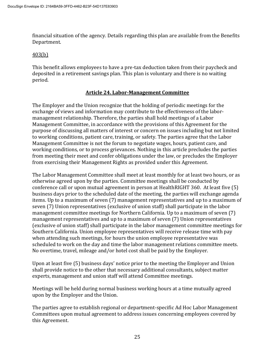financial situation of the agency. Details regarding this plan are available from the Benefits Department.

#### 403(b)

This benefit allows employees to have a pre-tax deduction taken from their paycheck and deposited in a retirement savings plan. This plan is voluntary and there is no waiting period.

#### **Article 24. Labor-Management Committee**

The Employer and the Union recognize that the holding of periodic meetings for the exchange of views and information may contribute to the effectiveness of the labormanagement relationship. Therefore, the parties shall hold meetings of a Labor Management Committee, in accordance with the provisions of this Agreement for the purpose of discussing all matters of interest or concern on issues including but not limited to working conditions, patient care, training, or safety. The parties agree that the Labor Management Committee is not the forum to negotiate wages, hours, patient care, and working conditions, or to process grievances. Nothing in this article precludes the parties from meeting their meet and confer obligations under the law, or precludes the Employer from exercising their Management Rights as provided under this Agreement.

The Labor Management Committee shall meet at least monthly for at least two hours, or as otherwise agreed upon by the parties. Committee meetings shall be conducted by conference call or upon mutual agreement in person at HealthRIGHT 360. At least five (5) business days prior to the scheduled date of the meeting, the parties will exchange agenda items. Up to a maximum of seven (7) management representatives and up to a maximum of seven (7) Union representatives (exclusive of union staff) shall participate in the labor management committee meetings for Northern California. Up to a maximum of seven (7) management representatives and up to a maximum of seven (7) Union representatives (exclusive of union staff) shall participate in the labor management committee meetings for Southern California. Union employee representatives will receive release time with pay when attending such meetings, for hours the union employee representative was scheduled to work on the day and time the labor management relations committee meets. No overtime, travel, mileage and/or hotel cost shall be paid by the Employer.

Upon at least five (5) business days' notice prior to the meeting the Employer and Union shall provide notice to the other that necessary additional consultants, subject matter experts, management and union staff will attend Committee meetings.

Meetings will be held during normal business working hours at a time mutually agreed upon by the Employer and the Union.

The parties agree to establish regional or department-specific Ad Hoc Labor Management Committees upon mutual agreement to address issues concerning employees covered by this Agreement.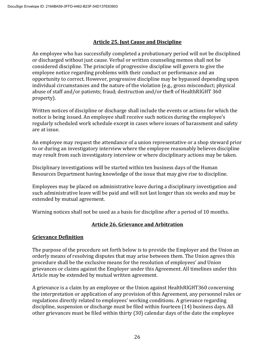## **Article 25. Just Cause and Discipline**

An employee who has successfully completed a probationary period will not be disciplined or discharged without just cause. Verbal or written counseling memos shall not be considered discipline. The principle of progressive discipline will govern to give the employee notice regarding problems with their conduct or performance and an opportunity to correct. However, progressive discipline may be bypassed depending upon individual circumstances and the nature of the violation (e.g., gross misconduct; physical abuse of staff and/or patients; fraud; destruction and/or theft of HealthRIGHT 360 property).

Written notices of discipline or discharge shall include the events or actions for which the notice is being issued. An employee shall receive such notices during the employee's regularly scheduled work schedule except in cases where issues of harassment and safety are at issue.

An employee may request the attendance of a union representative or a shop steward prior to or during an investigatory interview where the employee reasonably believes discipline may result from such investigatory interview or where disciplinary actions may be taken.

Disciplinary investigations will be started within ten business days of the Human Resources Department having knowledge of the issue that may give rise to discipline.

Employees may be placed on administrative leave during a disciplinary investigation and such administrative leave will be paid and will not last longer than six weeks and may be extended by mutual agreement.

Warning notices shall not be used as a basis for discipline after a period of 10 months.

## **Article 26. Grievance and Arbitration**

## **Grievance Definition**

The purpose of the procedure set forth below is to provide the Employer and the Union an orderly means of resolving disputes that may arise between them. The Union agrees this procedure shall be the exclusive means for the resolution of employees' and Union grievances or claims against the Employer under this Agreement. All timelines under this Article may be extended by mutual written agreement.

A grievance is a claim by an employee or the Union against HealthRIGHT360 concerning the interpretation or application of any provision of this Agreement, any personnel rules or regulations directly related to employees' working conditions. A grievance regarding discipline, suspension or discharge must be filed within fourteen (14) business days. All other grievances must be filed within thirty (30) calendar days of the date the employee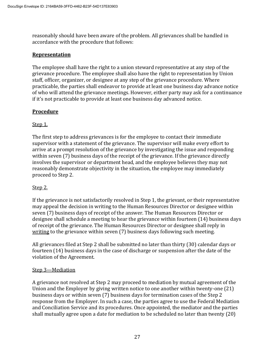reasonably should have been aware of the problem. All grievances shall be handled in accordance with the procedure that follows:

#### **Representation**

The employee shall have the right to a union steward representative at any step of the grievance procedure. The employee shall also have the right to representation by Union staff, officer, organizer, or designee at any step of the grievance procedure. Where practicable, the parties shall endeavor to provide at least one business day advance notice of who will attend the grievance meetings. However, either party may ask for a continuance if it's not practicable to provide at least one business day advanced notice.

## **Procedure**

## Step 1.

The first step to address grievances is for the employee to contact their immediate supervisor with a statement of the grievance. The supervisor will make every effort to arrive at a prompt resolution of the grievance by investigating the issue and responding within seven (7) business days of the receipt of the grievance. If the grievance directly involves the supervisor or department head, and the employee believes they may not reasonably demonstrate objectivity in the situation, the employee may immediately proceed to Step 2.

## Step 2.

If the grievance is not satisfactorily resolved in Step 1, the grievant, or their representative may appeal the decision in writing to the Human Resources Director or designee within seven (7) business days of receipt of the answer. The Human Resources Director or designee shall schedule a meeting to hear the grievance within fourteen (14) business days of receipt of the grievance. The Human Resources Director or designee shall reply in writing to the grievance within seven (7) business days following such meeting.

All grievances filed at Step 2 shall be submitted no later than thirty (30) calendar days or fourteen (14) business days in the case of discharge or suspension after the date of the violation of the Agreement.

#### Step 3—Mediation

A grievance not resolved at Step 2 may proceed to mediation by mutual agreement of the Union and the Employer by giving written notice to one another within twenty-one (21) business days or within seven (7) business days for termination cases of the Step 2 response from the Employer. In such a case, the parties agree to use the Federal Mediation and Conciliation Service and its procedures. Once appointed, the mediator and the parties shall mutually agree upon a date for mediation to be scheduled no later than twenty (20)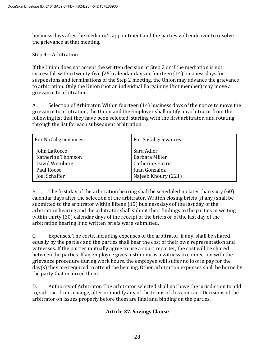business days after the mediator's appointment and the parties will endeavor to resolve the grievance at that meeting.

#### Step 4—Arbitration

If the Union does not accept the written decision at Step 2 or if the mediation is not successful, within twenty-five (25) calendar days or fourteen (14) business days for suspensions and terminations of the Step 2 meeting, the Union may advance the grievance to arbitration. Only the Union (not an individual Bargaining Unit member) may move a grievance to arbitration.

A. Selection of Arbitrator. Within fourteen (14) business days of the notice to move the grievance to arbitration, the Union and the Employer shall notify an arbitrator from the following list that they have been selected, starting with the first arbitrator, and rotating through the list for each subsequent arbitration:

| For NoCal grievances: | For SoCal grievances: |
|-----------------------|-----------------------|
| John LaRocco          | Sara Adler            |
| Katherine Thomson     | Barbara Miller        |
| David Weinberg        | Catherine Harris      |
| Paul Roose            | Juan Gonzalez         |
| Joel Schaffer         | Najeeb Khoury (221)   |

B. The first day of the arbitration hearing shall be scheduled no later than sixty (60) calendar days after the selection of the arbitrator. Written closing briefs (if any) shall be submitted to the arbitrator within fifteen (15) business days of the last day of the arbitration hearing and the arbitrator shall submit their findings to the parties in writing within thirty (30) calendar days of the receipt of the briefs or of the last day of the arbitration hearing if no written briefs were submitted.

C. Expenses. The costs, including expenses of the arbitrator, if any, shall be shared equally by the parties and the parties shall bear the cost of their own representation and witnesses. If the parties mutually agree to use a court reporter, the cost will be shared between the parties. If an employee gives testimony as a witness in connection with the grievance procedure during work hours, the employee will suffer no loss in pay for the day(s) they are required to attend the hearing. Other arbitration expenses shall be borne by the party that incurred them.

D. Authority of Arbitrator. The arbitrator selected shall not have the jurisdiction to add to, subtract from, change, alter or modify any of the terms of this contract. Decisions of the arbitrator on issues properly before them are final and binding on the parties.

## **Article 27. Savings Clause**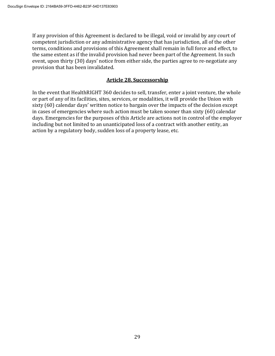If any provision of this Agreement is declared to be illegal, void or invalid by any court of competent jurisdiction or any administrative agency that has jurisdiction, all of the other terms, conditions and provisions of this Agreement shall remain in full force and effect, to the same extent as if the invalid provision had never been part of the Agreement. In such event, upon thirty (30) days' notice from either side, the parties agree to re-negotiate any provision that has been invalidated.

#### **Article 28. Successorship**

In the event that HealthRIGHT 360 decides to sell, transfer, enter a joint venture, the whole or part of any of its facilities, sites, services, or modalities, it will provide the Union with sixty (60) calendar days' written notice to bargain over the impacts of the decision except in cases of emergencies where such action must be taken sooner than sixty (60) calendar days. Emergencies for the purposes of this Article are actions not in control of the employer including but not limited to an unanticipated loss of a contract with another entity, an action by a regulatory body, sudden loss of a property lease, etc.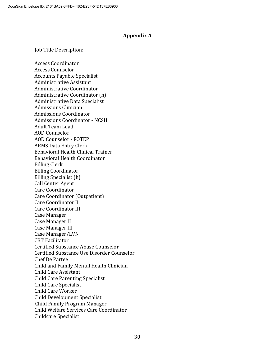#### **Appendix A**

#### **Job Title Description:**

Access Coordinator Access Counselor Accounts Payable Specialist Administrative Assistant Administrative Coordinator Administrative Coordinator (n) Administrative Data Specialist Admissions Clinician Admissions Coordinator Admissions Coordinator - NCSH Adult Team Lead AOD Counselor AOD Counselor - FOTEP ARMS Data Entry Clerk Behavioral Health Clinical Trainer Behavioral Health Coordinator Billing Clerk Billing Coordinator Billing Specialist (h) Call Center Agent Care Coordinator Care Coordinator (Outpatient) Care Coordinator II Care Coordinator III Case Manager Case Manager II Case Manager III Case Manager/LVN CBT Facilitator Certified Substance Abuse Counselor Certified Substance Use Disorder Counselor Chef De Partee Child and Family Mental Health Clinician Child Care Assistant Child Care Parenting Specialist Child Care Specialist Child Care Worker Child Development Specialist Child Family Program Manager Child Welfare Services Care Coordinator Childcare Specialist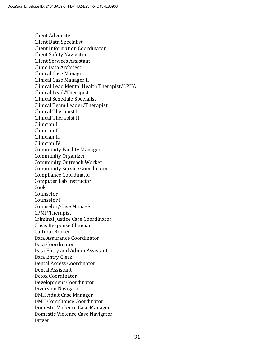Client Advocate Client Data Specialist Client Information Coordinator Client Safety Navigator Client Services Assistant Clinic Data Architect Clinical Case Manager Clinical Case Manager II Clinical Lead Mental Health Therapist/LPHA Clinical Lead/Therapist Clinical Schedule Specialist Clinical Team Leader/Therapist Clinical Therapist I Clinical Therapist II Clinician I Clinician II Clinician III Clinician IV Community Facility Manager Community Organizer Community Outreach Worker Community Service Coordinator Compliance Coordinator Computer Lab Instructor Cook Counselor Counselor I Counselor/Case Manager CPMP Therapist Criminal Justice Care Coordinator Crisis Response Clinician Cultural Broker Data Assurance Coordinator Data Coordinator Data Entry and Admin Assistant Data Entry Clerk Dental Access Coordinator Dental Assistant Detox Coordinator Development Coordinator Diversion Navigator DMH Adult Case Manager DMH Compliance Coordinator Domestic Violence Case Manager Domestic Violence Case Navigator Driver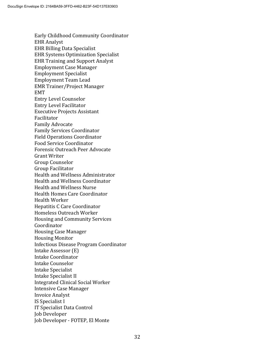Early Childhood Community Coordinator EHR Analyst EHR Billing Data Specialist EHR Systems Optimization Specialist EHR Training and Support Analyst Employment Case Manager Employment Specialist Employment Team Lead EMR Trainer/Project Manager EMT Entry Level Counselor Entry Level Facilitator Executive Projects Assistant Facilitator Family Advocate Family Services Coordinator Field Operations Coordinator Food Service Coordinator Forensic Outreach Peer Advocate Grant Writer Group Counselor Group Facilitator Health and Wellness Administrator Health and Wellness Coordinator Health and Wellness Nurse Health Homes Care Coordinator Health Worker Hepatitis C Care Coordinator Homeless Outreach Worker Housing and Community Services Coordinator Housing Case Manager Housing Monitor Infectious Disease Program Coordinator Intake Assessor (E) Intake Coordinator Intake Counselor Intake Specialist Intake Specialist II Integrated Clinical Social Worker Intensive Case Manager Invoice Analyst IS Specialist I IT Specialist Data Control Job Developer Job Developer - FOTEP, El Monte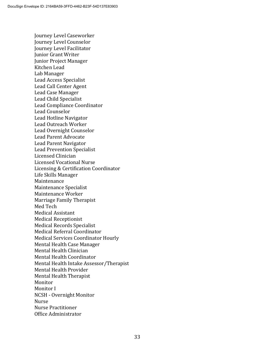Journey Level Caseworker Journey Level Counselor Journey Level Facilitator Junior Grant Writer Junior Project Manager Kitchen Lead Lab Manager Lead Access Specialist Lead Call Center Agent Lead Case Manager Lead Child Specialist Lead Compliance Coordinator Lead Counselor Lead Hotline Navigator Lead Outreach Worker Lead Overnight Counselor Lead Parent Advocate Lead Parent Navigator Lead Prevention Specialist Licensed Clinician Licensed Vocational Nurse Licensing & Certification Coordinator Life Skills Manager Maintenance Maintenance Specialist Maintenance Worker Marriage Family Therapist Med Tech Medical Assistant Medical Receptionist Medical Records Specialist Medical Referral Coordinator Medical Services Coordinator Hourly Mental Health Case Manager Mental Health Clinician Mental Health Coordinator Mental Health Intake Assessor/Therapist Mental Health Provider Mental Health Therapist Monitor Monitor I NCSH - Overnight Monitor Nurse Nurse Practitioner Office Administrator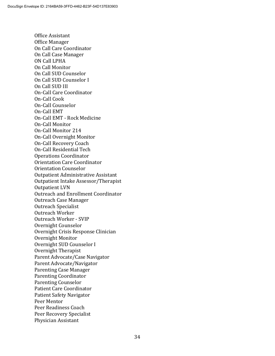Office Assistant Office Manager On Call Care Coordinator On Call Case Manager ON Call LPHA On Call Monitor On Call SUD Counselor On Call SUD Counselor I On Call SUD III On-Call Care Coordinator On-Call Cook On-Call Counselor On-Call EMT On-Call EMT - Rock Medicine On-Call Monitor On-Call Monitor 214 On-Call Overnight Monitor On-Call Recovery Coach On-Call Residential Tech Operations Coordinator Orientation Care Coordinator Orientation Counselor Outpatient Administrative Assistant Outpatient Intake Assessor/Therapist Outpatient LVN Outreach and Enrollment Coordinator Outreach Case Manager Outreach Specialist Outreach Worker Outreach Worker - SVIP Overnight Counselor Overnight Crisis Response Clinician Overnight Monitor Overnight SUD Counselor I Overnight Therapist Parent Advocate/Case Navigator Parent Advocate/Navigator Parenting Case Manager Parenting Coordinator Parenting Counselor Patient Care Coordinator Patient Safety Navigator Peer Mentor Peer Readiness Coach Peer Recovery Specialist Physician Assistant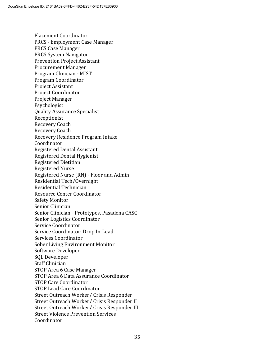Placement Coordinator PRCS - Employment Case Manager PRCS Case Manager PRCS System Navigator Prevention Project Assistant Procurement Manager Program Clinician - MIST Program Coordinator Project Assistant Project Coordinator Project Manager Psychologist Quality Assurance Specialist Receptionist Recovery Coach Recovery Coach Recovery Residence Program Intake Coordinator Registered Dental Assistant Registered Dental Hygienist Registered Dietitian Registered Nurse Registered Nurse (RN) - Floor and Admin Residential Tech/Overnight Residential Technician Resource Center Coordinator Safety Monitor Senior Clinician Senior Clinician - Prototypes, Pasadena CASC Senior Logistics Coordinator Service Coordinator Service Coordinator: Drop In-Lead Services Coordinator Sober Living Environment Monitor Software Developer SQL Developer Staff Clinician STOP Area 6 Case Manager STOP Area 6 Data Assurance Coordinator STOP Care Coordinator STOP Lead Care Coordinator Street Outreach Worker/ Crisis Responder Street Outreach Worker/ Crisis Responder II Street Outreach Worker/ Crisis Responder III Street Violence Prevention Services Coordinator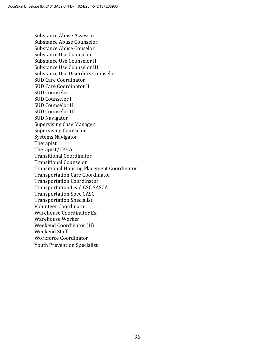Substance Abuse Assessor Substance Abuse Counselor Substance Abuse Couselor Substance Use Counselor Substance Use Counselor II Substance Use Counselor III Substance Use Disorders Counselor SUD Care Coordinator SUD Care Coordinator II SUD Counselor SUD Counselor I SUD Counselor II SUD Counselor III SUD Navigator Supervising Case Manager Supervising Counselor Systems Navigator Therapist Therapist/LPHA Transitional Coordinator Transitional Counselor Transitional Housing Placement Coordinator Transportation Care Coordinator Transportation Coordinator Transportation Lead CSC SASCA Transportation Spec CASC Transportation Specialist Volunteer Coordinator Warehouse Coordinator Ex Warehouse Worker Weekend Coordinator (H) Weekend Staff Workforce Coordinator Youth Prevention Specialist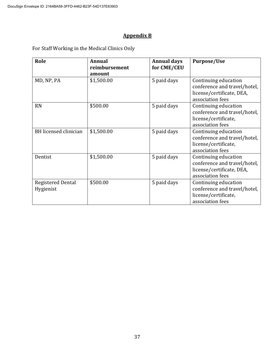# **Appendix B**

For Staff Working in the Medical Clinics Only

| Role                                  | <b>Annual</b><br>reimbursement | <b>Annual days</b><br>for CME/CEU | <b>Purpose/Use</b>                                                                                    |
|---------------------------------------|--------------------------------|-----------------------------------|-------------------------------------------------------------------------------------------------------|
| MD, NP, PA                            | amount<br>\$1,500.00           | 5 paid days                       | Continuing education<br>conference and travel/hotel,<br>license/certificate, DEA,<br>association fees |
| <b>RN</b>                             | \$500.00                       | 5 paid days                       | Continuing education<br>conference and travel/hotel,<br>license/certificate,<br>association fees      |
| BH licensed clinician                 | \$1,500.00                     | 5 paid days                       | Continuing education<br>conference and travel/hotel,<br>license/certificate,<br>association fees      |
| Dentist                               | \$1,500.00                     | 5 paid days                       | Continuing education<br>conference and travel/hotel,<br>license/certificate, DEA,<br>association fees |
| <b>Registered Dental</b><br>Hygienist | \$500.00                       | 5 paid days                       | Continuing education<br>conference and travel/hotel,<br>license/certificate,<br>association fees      |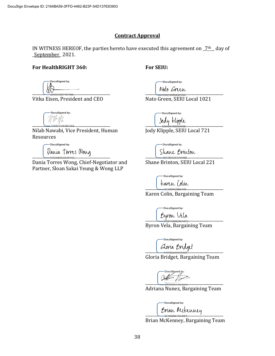#### **Contract Approval**

IN WITNESS HEREOF, the parties hereto have executed this agreement on  $2<sup>th</sup>$  day of \_September\_ 2021.

#### **For HealthRIGHT 360:**

#### **For SEIU:**

DocuSigned by:  $\begin{array}{ccc} \text{CIV} & & \text{G2ACE49571874B5...} \end{array}$ 

Vitka Eisen, President and CEO

DocuSigned by:  $\frac{1}{2188C510E4B74A4}$ 

Nilab Nawabi, Vice President, Human Resources

> DocuSigned by: Dania Torres Wong

Dania Torres Wong, Chief-Negotiator and Partner, Sloan Sakai Yeung & Wong LLP

DocuSigned by:

\_\_\_\_\_\_\_\_\_\_\_\_\_\_\_\_\_\_\_\_\_\_\_\_\_\_\_\_\_\_\_\_\_\_\_\_\_\_\_

Nato Green, SEIU Local 1021

DocuSianed by: \_\_\_\_\_\_\_\_\_\_\_\_\_\_\_\_\_\_\_\_\_\_\_\_\_\_\_\_\_\_\_\_\_\_\_\_\_\_\_

Jody Klipple, SEIU Local 721

DocuSigned by: Shane Brinton

Shane Brinton, SEIU Local 221

DocuSigned by: <u>taren Colin</u><br>--<sup>231489E028BA438</sup>

Karen Colin, Bargaining Team

DocuSigned by:

Byron Vela

Byron Vela, Bargaining Team

ocuSigned by: Gloria Bridget

Gloria Bridget, Bargaining Team

 $\overbrace{044064542652436}$ 

Adriana Nunez, Bargaining Team

DocuSigned by: Brian Mckenney

Brian McKenney, Bargaining Team